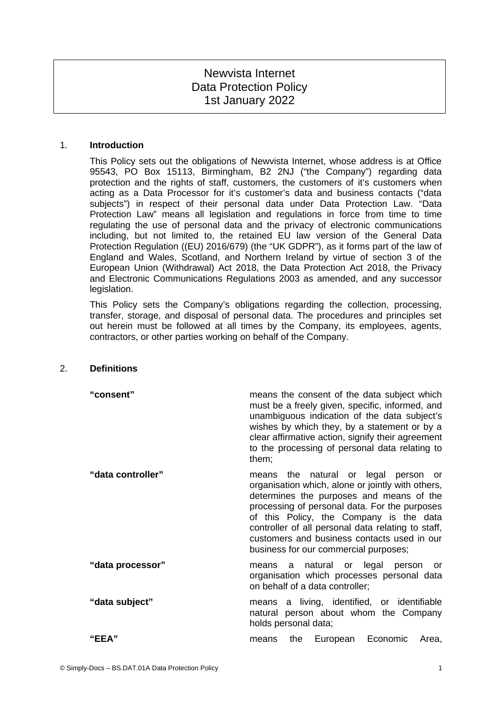# Newvista Internet Data Protection Policy 1st January 2022

## 1. **Introduction**

This Policy sets out the obligations of Newvista Internet, whose address is at Office 95543, PO Box 15113, Birmingham, B2 2NJ ("the Company") regarding data protection and the rights of staff, customers, the customers of it's customers when acting as a Data Processor for it's customer's data and business contacts ("data subjects") in respect of their personal data under Data Protection Law. "Data Protection Law" means all legislation and regulations in force from time to time regulating the use of personal data and the privacy of electronic communications including, but not limited to, the retained EU law version of the General Data Protection Regulation ((EU) 2016/679) (the "UK GDPR"), as it forms part of the law of England and Wales, Scotland, and Northern Ireland by virtue of section 3 of the European Union (Withdrawal) Act 2018, the Data Protection Act 2018, the Privacy and Electronic Communications Regulations 2003 as amended, and any successor legislation.

This Policy sets the Company's obligations regarding the collection, processing, transfer, storage, and disposal of personal data. The procedures and principles set out herein must be followed at all times by the Company, its employees, agents, contractors, or other parties working on behalf of the Company.

## 2. **Definitions**

| "consent"         | means the consent of the data subject which<br>must be a freely given, specific, informed, and<br>unambiguous indication of the data subject's<br>wishes by which they, by a statement or by a<br>clear affirmative action, signify their agreement<br>to the processing of personal data relating to<br>them;                                                                  |
|-------------------|---------------------------------------------------------------------------------------------------------------------------------------------------------------------------------------------------------------------------------------------------------------------------------------------------------------------------------------------------------------------------------|
| "data controller" | means the natural or legal person or<br>organisation which, alone or jointly with others,<br>determines the purposes and means of the<br>processing of personal data. For the purposes<br>of this Policy, the Company is the data<br>controller of all personal data relating to staff,<br>customers and business contacts used in our<br>business for our commercial purposes; |
| "data processor"  | means a natural or legal person<br>or<br>organisation which processes personal data<br>on behalf of a data controller;                                                                                                                                                                                                                                                          |
| "data subject"    | means a living, identified, or identifiable<br>natural person about whom the Company<br>holds personal data;                                                                                                                                                                                                                                                                    |
| "EEA"             | European Economic<br>the<br>Area.<br>means                                                                                                                                                                                                                                                                                                                                      |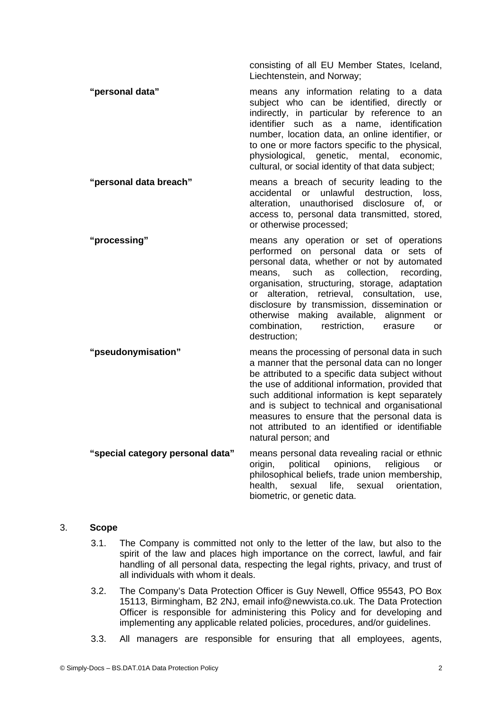consisting of all EU Member States, Iceland, Liechtenstein, and Norway;

**"personal data"** means any information relating to a data subject who can be identified, directly or indirectly, in particular by reference to an identifier such as a name, identification number, location data, an online identifier, or to one or more factors specific to the physical, physiological, genetic, mental, economic, cultural, or social identity of that data subject;

- **"personal data breach"** means a breach of security leading to the accidental or unlawful destruction, loss, alteration, unauthorised disclosure of, or access to, personal data transmitted, stored, or otherwise processed;
- **"processing"** means any operation or set of operations performed on personal data or sets of personal data, whether or not by automated means, such as collection, recording, organisation, structuring, storage, adaptation or alteration, retrieval, consultation, use, disclosure by transmission, dissemination or otherwise making available, alignment or combination, restriction, erasure or destruction;
- **"pseudonymisation"** means the processing of personal data in such a manner that the personal data can no longer be attributed to a specific data subject without the use of additional information, provided that such additional information is kept separately and is subject to technical and organisational measures to ensure that the personal data is not attributed to an identified or identifiable natural person; and **"special category personal data"** means personal data revealing racial or ethnic
	- origin, political opinions, religious or philosophical beliefs, trade union membership, health, sexual life, sexual orientation, biometric, or genetic data.

# 3. **Scope**

- <span id="page-1-0"></span>3.1. The Company is committed not only to the letter of the law, but also to the spirit of the law and places high importance on the correct, lawful, and fair handling of all personal data, respecting the legal rights, privacy, and trust of all individuals with whom it deals.
- 3.2. The Company's Data Protection Officer is Guy Newell, Office 95543, PO Box 15113, Birmingham, B2 2NJ, email info@newvista.co.uk. The Data Protection Officer is responsible for administering this Policy and for developing and implementing any applicable related policies, procedures, and/or guidelines.
- 3.3. All managers are responsible for ensuring that all employees, agents,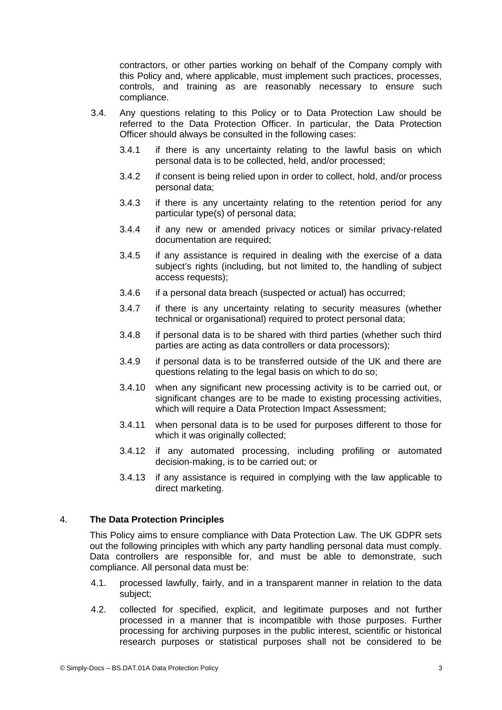contractors, or other parties working on behalf of the Company comply with this Policy and, where applicable, must implement such practices, processes, controls, and training as are reasonably necessary to ensure such compliance.

- 3.4. Any questions relating to this Policy or to Data Protection Law should be referred to the Data Protection Officer. In particular, the Data Protection Officer should always be consulted in the following cases:
	- 3.4.1 if there is any uncertainty relating to the lawful basis on which personal data is to be collected, held, and/or processed;
	- 3.4.2 if consent is being relied upon in order to collect, hold, and/or process personal data;
	- 3.4.3 if there is any uncertainty relating to the retention period for any particular type(s) of personal data;
	- 3.4.4 if any new or amended privacy notices or similar privacy-related documentation are required;
	- 3.4.5 if any assistance is required in dealing with the exercise of a data subject's rights (including, but not limited to, the handling of subject access requests);
	- 3.4.6 if a personal data breach (suspected or actual) has occurred;
	- 3.4.7 if there is any uncertainty relating to security measures (whether technical or organisational) required to protect personal data;
	- 3.4.8 if personal data is to be shared with third parties (whether such third parties are acting as data controllers or data processors);
	- 3.4.9 if personal data is to be transferred outside of the UK and there are questions relating to the legal basis on which to do so;
	- 3.4.10 when any significant new processing activity is to be carried out, or significant changes are to be made to existing processing activities, which will require a Data Protection Impact Assessment;
	- 3.4.11 when personal data is to be used for purposes different to those for which it was originally collected;
	- 3.4.12 if any automated processing, including profiling or automated decision-making, is to be carried out; or
	- 3.4.13 if any assistance is required in complying with the law applicable to direct marketing.

# 4. **The Data Protection Principles**

This Policy aims to ensure compliance with Data Protection Law. The UK GDPR sets out the following principles with which any party handling personal data must comply. Data controllers are responsible for, and must be able to demonstrate, such compliance. All personal data must be:

- 4.1. processed lawfully, fairly, and in a transparent manner in relation to the data subject;
- 4.2. collected for specified, explicit, and legitimate purposes and not further processed in a manner that is incompatible with those purposes. Further processing for archiving purposes in the public interest, scientific or historical research purposes or statistical purposes shall not be considered to be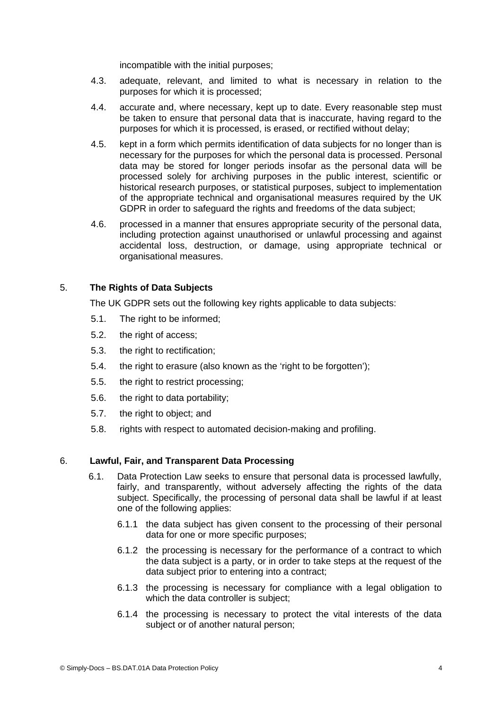incompatible with the initial purposes;

- 4.3. adequate, relevant, and limited to what is necessary in relation to the purposes for which it is processed;
- 4.4. accurate and, where necessary, kept up to date. Every reasonable step must be taken to ensure that personal data that is inaccurate, having regard to the purposes for which it is processed, is erased, or rectified without delay;
- 4.5. kept in a form which permits identification of data subjects for no longer than is necessary for the purposes for which the personal data is processed. Personal data may be stored for longer periods insofar as the personal data will be processed solely for archiving purposes in the public interest, scientific or historical research purposes, or statistical purposes, subject to implementation of the appropriate technical and organisational measures required by the UK GDPR in order to safeguard the rights and freedoms of the data subject:
- 4.6. processed in a manner that ensures appropriate security of the personal data, including protection against unauthorised or unlawful processing and against accidental loss, destruction, or damage, using appropriate technical or organisational measures.

## 5. **The Rights of Data Subjects**

The UK GDPR sets out the following key rights applicable to data subjects:

- 5.1. The right to be informed:
- <span id="page-3-0"></span>5.2. the right of access;
- 5.3. the right to rectification;
- 5.4. the right to erasure (also known as the 'right to be forgotten');
- 5.5. the right to restrict processing;
- 5.6. the right to data portability;
- 5.7. the right to object; and
- 5.8. rights with respect to automated decision-making and profiling.

## 6. **Lawful, Fair, and Transparent Data Processing**

- 6.1. Data Protection Law seeks to ensure that personal data is processed lawfully, fairly, and transparently, without adversely affecting the rights of the data subject. Specifically, the processing of personal data shall be lawful if at least one of the following applies:
	- 6.1.1 the data subject has given consent to the processing of their personal data for one or more specific purposes;
	- 6.1.2 the processing is necessary for the performance of a contract to which the data subject is a party, or in order to take steps at the request of the data subject prior to entering into a contract;
	- 6.1.3 the processing is necessary for compliance with a legal obligation to which the data controller is subject:
	- 6.1.4 the processing is necessary to protect the vital interests of the data subject or of another natural person: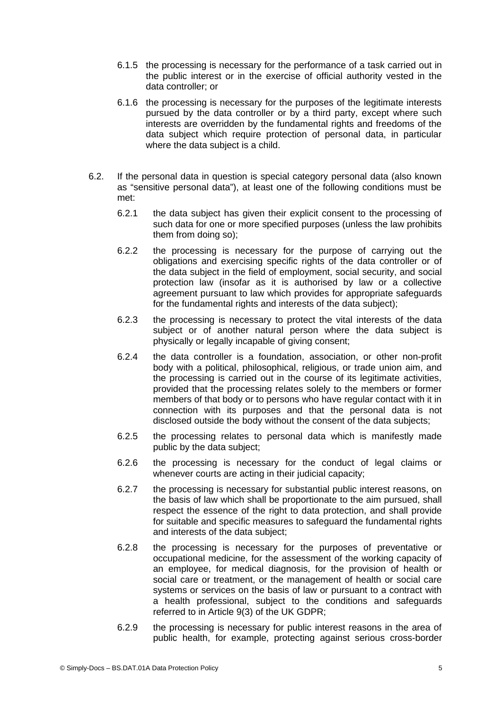- 6.1.5 the processing is necessary for the performance of a task carried out in the public interest or in the exercise of official authority vested in the data controller; or
- 6.1.6 the processing is necessary for the purposes of the legitimate interests pursued by the data controller or by a third party, except where such interests are overridden by the fundamental rights and freedoms of the data subject which require protection of personal data, in particular where the data subject is a child.
- 6.2. If the personal data in question is special category personal data (also known as "sensitive personal data"), at least one of the following conditions must be met:
	- 6.2.1 the data subject has given their explicit consent to the processing of such data for one or more specified purposes (unless the law prohibits them from doing so);
	- 6.2.2 the processing is necessary for the purpose of carrying out the obligations and exercising specific rights of the data controller or of the data subject in the field of employment, social security, and social protection law (insofar as it is authorised by law or a collective agreement pursuant to law which provides for appropriate safeguards for the fundamental rights and interests of the data subject);
	- 6.2.3 the processing is necessary to protect the vital interests of the data subject or of another natural person where the data subject is physically or legally incapable of giving consent;
	- 6.2.4 the data controller is a foundation, association, or other non-profit body with a political, philosophical, religious, or trade union aim, and the processing is carried out in the course of its legitimate activities, provided that the processing relates solely to the members or former members of that body or to persons who have regular contact with it in connection with its purposes and that the personal data is not disclosed outside the body without the consent of the data subjects;
	- 6.2.5 the processing relates to personal data which is manifestly made public by the data subject;
	- 6.2.6 the processing is necessary for the conduct of legal claims or whenever courts are acting in their judicial capacity;
	- 6.2.7 the processing is necessary for substantial public interest reasons, on the basis of law which shall be proportionate to the aim pursued, shall respect the essence of the right to data protection, and shall provide for suitable and specific measures to safeguard the fundamental rights and interests of the data subject;
	- 6.2.8 the processing is necessary for the purposes of preventative or occupational medicine, for the assessment of the working capacity of an employee, for medical diagnosis, for the provision of health or social care or treatment, or the management of health or social care systems or services on the basis of law or pursuant to a contract with a health professional, subject to the conditions and safeguards referred to in Article 9(3) of the UK GDPR;
	- 6.2.9 the processing is necessary for public interest reasons in the area of public health, for example, protecting against serious cross-border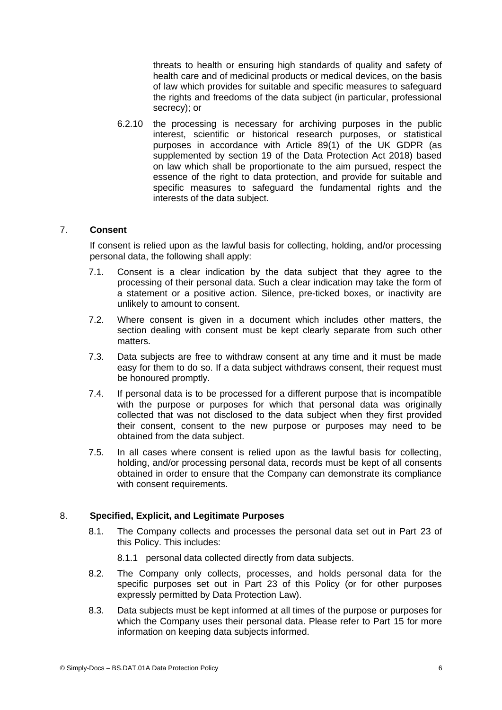threats to health or ensuring high standards of quality and safety of health care and of medicinal products or medical devices, on the basis of law which provides for suitable and specific measures to safeguard the rights and freedoms of the data subject (in particular, professional secrecy); or

6.2.10 the processing is necessary for archiving purposes in the public interest, scientific or historical research purposes, or statistical purposes in accordance with Article 89(1) of the UK GDPR (as supplemented by section 19 of the Data Protection Act 2018) based on law which shall be proportionate to the aim pursued, respect the essence of the right to data protection, and provide for suitable and specific measures to safeguard the fundamental rights and the interests of the data subject.

# 7. **Consent**

If consent is relied upon as the lawful basis for collecting, holding, and/or processing personal data, the following shall apply:

- 7.1. Consent is a clear indication by the data subject that they agree to the processing of their personal data. Such a clear indication may take the form of a statement or a positive action. Silence, pre-ticked boxes, or inactivity are unlikely to amount to consent.
- 7.2. Where consent is given in a document which includes other matters, the section dealing with consent must be kept clearly separate from such other matters.
- 7.3. Data subjects are free to withdraw consent at any time and it must be made easy for them to do so. If a data subject withdraws consent, their request must be honoured promptly.
- 7.4. If personal data is to be processed for a different purpose that is incompatible with the purpose or purposes for which that personal data was originally collected that was not disclosed to the data subject when they first provided their consent, consent to the new purpose or purposes may need to be obtained from the data subject.
- 7.5. In all cases where consent is relied upon as the lawful basis for collecting, holding, and/or processing personal data, records must be kept of all consents obtained in order to ensure that the Company can demonstrate its compliance with consent requirements.

# 8. **Specified, Explicit, and Legitimate Purposes**

- <span id="page-5-0"></span>8.1. The Company collects and processes the personal data set out in Part [23](#page-12-0) of this Policy. This includes:
	- 8.1.1 personal data collected directly from data subjects.
- 8.2. The Company only collects, processes, and holds personal data for the specific purposes set out in Part [23](#page-12-0) of this Policy (or for other purposes expressly permitted by Data Protection Law).
- 8.3. Data subjects must be kept informed at all times of the purpose or purposes for which the Company uses their personal data. Please refer to Part [15](#page-8-0) for more information on keeping data subjects informed.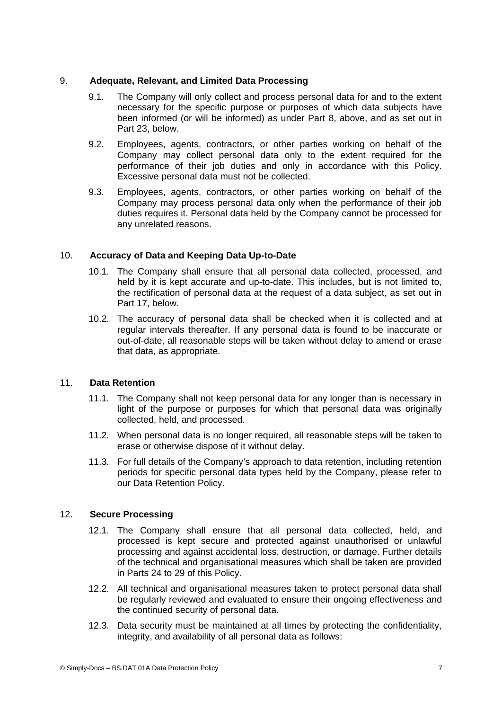## 9. **Adequate, Relevant, and Limited Data Processing**

- 9.1. The Company will only collect and process personal data for and to the extent necessary for the specific purpose or purposes of which data subjects have been informed (or will be informed) as under Part [8,](#page-5-0) above, and as set out in Part [23,](#page-12-0) below.
- 9.2. Employees, agents, contractors, or other parties working on behalf of the Company may collect personal data only to the extent required for the performance of their job duties and only in accordance with this Policy. Excessive personal data must not be collected.
- 9.3. Employees, agents, contractors, or other parties working on behalf of the Company may process personal data only when the performance of their job duties requires it. Personal data held by the Company cannot be processed for any unrelated reasons.

# 10. **Accuracy of Data and Keeping Data Up-to-Date**

- 10.1. The Company shall ensure that all personal data collected, processed, and held by it is kept accurate and up-to-date. This includes, but is not limited to, the rectification of personal data at the request of a data subject, as set out in Part [17,](#page-10-0) below.
- 10.2. The accuracy of personal data shall be checked when it is collected and at regular intervals thereafter. If any personal data is found to be inaccurate or out-of-date, all reasonable steps will be taken without delay to amend or erase that data, as appropriate.

# 11. **Data Retention**

- 11.1. The Company shall not keep personal data for any longer than is necessary in light of the purpose or purposes for which that personal data was originally collected, held, and processed.
- 11.2. When personal data is no longer required, all reasonable steps will be taken to erase or otherwise dispose of it without delay.
- 11.3. For full details of the Company's approach to data retention, including retention periods for specific personal data types held by the Company, please refer to our Data Retention Policy.

# 12. **Secure Processing**

- 12.1. The Company shall ensure that all personal data collected, held, and processed is kept secure and protected against unauthorised or unlawful processing and against accidental loss, destruction, or damage. Further details of the technical and organisational measures which shall be taken are provided in Parts [24](#page-12-1) to [29](#page-14-0) of this Policy.
- 12.2. All technical and organisational measures taken to protect personal data shall be regularly reviewed and evaluated to ensure their ongoing effectiveness and the continued security of personal data.
- 12.3. Data security must be maintained at all times by protecting the confidentiality, integrity, and availability of all personal data as follows: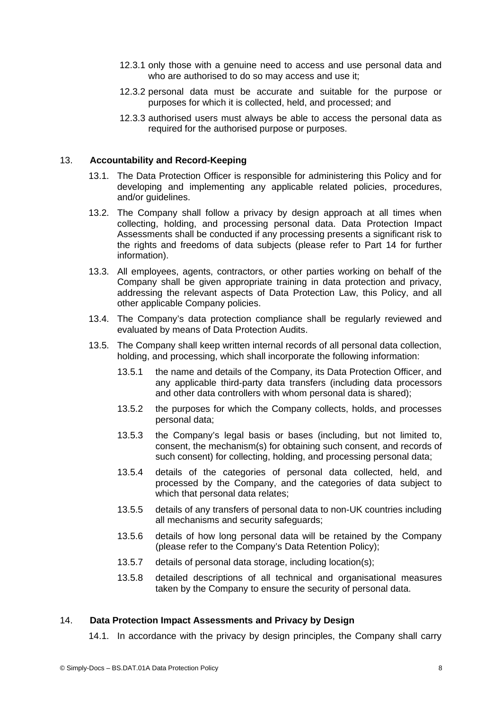- 12.3.1 only those with a genuine need to access and use personal data and who are authorised to do so may access and use it;
- 12.3.2 personal data must be accurate and suitable for the purpose or purposes for which it is collected, held, and processed; and
- 12.3.3 authorised users must always be able to access the personal data as required for the authorised purpose or purposes.

## 13. **Accountability and Record-Keeping**

- 13.1. The Data Protection Officer is responsible for administering this Policy and for developing and implementing any applicable related policies, procedures, and/or guidelines.
- 13.2. The Company shall follow a privacy by design approach at all times when collecting, holding, and processing personal data. Data Protection Impact Assessments shall be conducted if any processing presents a significant risk to the rights and freedoms of data subjects (please refer to Part [14](#page-7-0) for further information).
- 13.3. All employees, agents, contractors, or other parties working on behalf of the Company shall be given appropriate training in data protection and privacy, addressing the relevant aspects of Data Protection Law, this Policy, and all other applicable Company policies.
- 13.4. The Company's data protection compliance shall be regularly reviewed and evaluated by means of Data Protection Audits.
- 13.5. The Company shall keep written internal records of all personal data collection, holding, and processing, which shall incorporate the following information:
	- 13.5.1 the name and details of the Company, its Data Protection Officer, and any applicable third-party data transfers (including data processors and other data controllers with whom personal data is shared);
	- 13.5.2 the purposes for which the Company collects, holds, and processes personal data;
	- 13.5.3 the Company's legal basis or bases (including, but not limited to, consent, the mechanism(s) for obtaining such consent, and records of such consent) for collecting, holding, and processing personal data;
	- 13.5.4 details of the categories of personal data collected, held, and processed by the Company, and the categories of data subject to which that personal data relates;
	- 13.5.5 details of any transfers of personal data to non-UK countries including all mechanisms and security safeguards;
	- 13.5.6 details of how long personal data will be retained by the Company (please refer to the Company's Data Retention Policy);
	- 13.5.7 details of personal data storage, including location(s);
	- 13.5.8 detailed descriptions of all technical and organisational measures taken by the Company to ensure the security of personal data.

## 14. **Data Protection Impact Assessments and Privacy by Design**

<span id="page-7-0"></span>14.1. In accordance with the privacy by design principles, the Company shall carry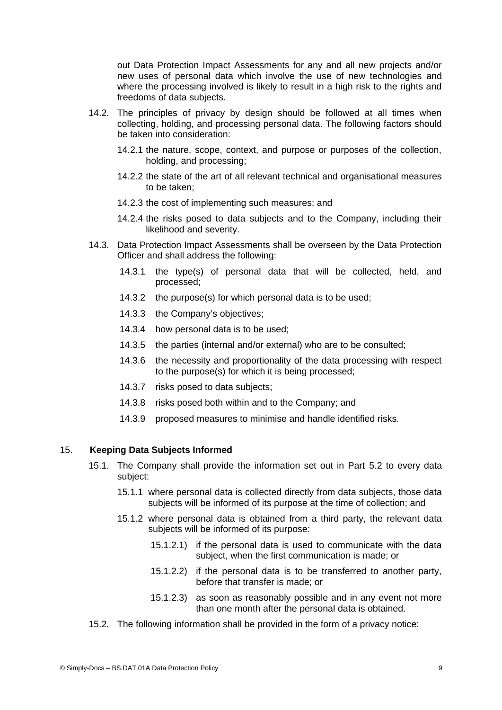out Data Protection Impact Assessments for any and all new projects and/or new uses of personal data which involve the use of new technologies and where the processing involved is likely to result in a high risk to the rights and freedoms of data subjects.

- 14.2. The principles of privacy by design should be followed at all times when collecting, holding, and processing personal data. The following factors should be taken into consideration:
	- 14.2.1 the nature, scope, context, and purpose or purposes of the collection, holding, and processing;
	- 14.2.2 the state of the art of all relevant technical and organisational measures to be taken;
	- 14.2.3 the cost of implementing such measures; and
	- 14.2.4 the risks posed to data subjects and to the Company, including their likelihood and severity.
- 14.3. Data Protection Impact Assessments shall be overseen by the Data Protection Officer and shall address the following:
	- 14.3.1 the type(s) of personal data that will be collected, held, and processed;
	- 14.3.2 the purpose(s) for which personal data is to be used;
	- 14.3.3 the Company's objectives;
	- 14.3.4 how personal data is to be used;
	- 14.3.5 the parties (internal and/or external) who are to be consulted;
	- 14.3.6 the necessity and proportionality of the data processing with respect to the purpose(s) for which it is being processed;
	- 14.3.7 risks posed to data subjects;
	- 14.3.8 risks posed both within and to the Company; and
	- 14.3.9 proposed measures to minimise and handle identified risks.

## 15. **Keeping Data Subjects Informed**

- <span id="page-8-0"></span>15.1. The Company shall provide the information set out in Part [5.2](#page-3-0) to every data subject:
	- 15.1.1 where personal data is collected directly from data subjects, those data subjects will be informed of its purpose at the time of collection; and
	- 15.1.2 where personal data is obtained from a third party, the relevant data subjects will be informed of its purpose:
		- 15.1.2.1) if the personal data is used to communicate with the data subject, when the first communication is made; or
		- 15.1.2.2) if the personal data is to be transferred to another party, before that transfer is made; or
		- 15.1.2.3) as soon as reasonably possible and in any event not more than one month after the personal data is obtained.
- 15.2. The following information shall be provided in the form of a privacy notice: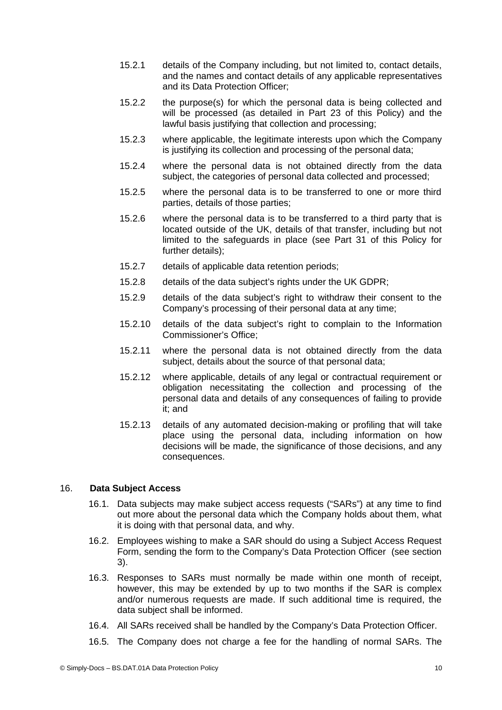- 15.2.1 details of the Company including, but not limited to, contact details, and the names and contact details of any applicable representatives and its Data Protection Officer;
- 15.2.2 the purpose(s) for which the personal data is being collected and will be processed (as detailed in Part [23](#page-12-0) of this Policy) and the lawful basis justifying that collection and processing;
- 15.2.3 where applicable, the legitimate interests upon which the Company is justifying its collection and processing of the personal data;
- 15.2.4 where the personal data is not obtained directly from the data subject, the categories of personal data collected and processed;
- 15.2.5 where the personal data is to be transferred to one or more third parties, details of those parties;
- 15.2.6 where the personal data is to be transferred to a third party that is located outside of the UK, details of that transfer, including but not limited to the safeguards in place (see Part 31 of this Policy for further details);
- 15.2.7 details of applicable data retention periods;
- 15.2.8 details of the data subject's rights under the UK GDPR;
- 15.2.9 details of the data subject's right to withdraw their consent to the Company's processing of their personal data at any time;
- 15.2.10 details of the data subject's right to complain to the Information Commissioner's Office;
- 15.2.11 where the personal data is not obtained directly from the data subject, details about the source of that personal data;
- 15.2.12 where applicable, details of any legal or contractual requirement or obligation necessitating the collection and processing of the personal data and details of any consequences of failing to provide it; and
- 15.2.13 details of any automated decision-making or profiling that will take place using the personal data, including information on how decisions will be made, the significance of those decisions, and any consequences.

## 16. **Data Subject Access**

- 16.1. Data subjects may make subject access requests ("SARs") at any time to find out more about the personal data which the Company holds about them, what it is doing with that personal data, and why.
- 16.2. Employees wishing to make a SAR should do using a Subject Access Request Form, sending the form to the Company's Data Protection Officer (see section [3](#page-1-0)).
- 16.3. Responses to SARs must normally be made within one month of receipt, however, this may be extended by up to two months if the SAR is complex and/or numerous requests are made. If such additional time is required, the data subject shall be informed.
- 16.4. All SARs received shall be handled by the Company's Data Protection Officer.
- 16.5. The Company does not charge a fee for the handling of normal SARs. The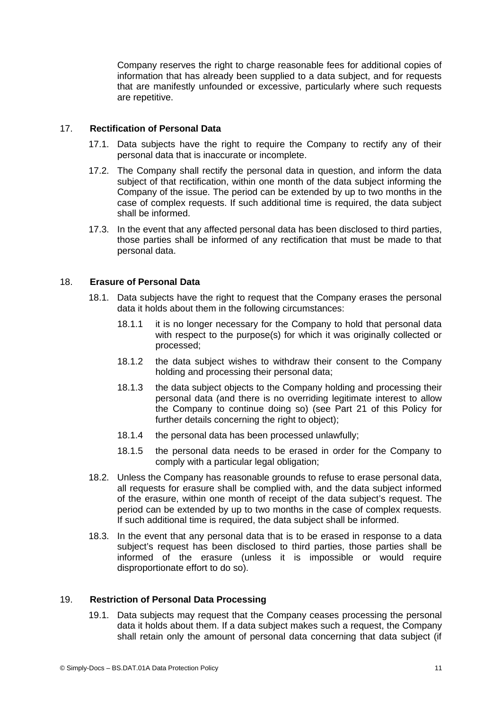Company reserves the right to charge reasonable fees for additional copies of information that has already been supplied to a data subject, and for requests that are manifestly unfounded or excessive, particularly where such requests are repetitive.

## 17. **Rectification of Personal Data**

- <span id="page-10-0"></span>17.1. Data subjects have the right to require the Company to rectify any of their personal data that is inaccurate or incomplete.
- 17.2. The Company shall rectify the personal data in question, and inform the data subject of that rectification, within one month of the data subject informing the Company of the issue. The period can be extended by up to two months in the case of complex requests. If such additional time is required, the data subject shall be informed.
- 17.3. In the event that any affected personal data has been disclosed to third parties, those parties shall be informed of any rectification that must be made to that personal data.

## 18. **Erasure of Personal Data**

- 18.1. Data subjects have the right to request that the Company erases the personal data it holds about them in the following circumstances:
	- 18.1.1 it is no longer necessary for the Company to hold that personal data with respect to the purpose(s) for which it was originally collected or processed;
	- 18.1.2 the data subject wishes to withdraw their consent to the Company holding and processing their personal data;
	- 18.1.3 the data subject objects to the Company holding and processing their personal data (and there is no overriding legitimate interest to allow the Company to continue doing so) (see Part [21](#page-11-0) of this Policy for further details concerning the right to object);
	- 18.1.4 the personal data has been processed unlawfully;
	- 18.1.5 the personal data needs to be erased in order for the Company to comply with a particular legal obligation;
- 18.2. Unless the Company has reasonable grounds to refuse to erase personal data, all requests for erasure shall be complied with, and the data subject informed of the erasure, within one month of receipt of the data subject's request. The period can be extended by up to two months in the case of complex requests. If such additional time is required, the data subject shall be informed.
- 18.3. In the event that any personal data that is to be erased in response to a data subject's request has been disclosed to third parties, those parties shall be informed of the erasure (unless it is impossible or would require disproportionate effort to do so).

## 19. **Restriction of Personal Data Processing**

19.1. Data subjects may request that the Company ceases processing the personal data it holds about them. If a data subject makes such a request, the Company shall retain only the amount of personal data concerning that data subject (if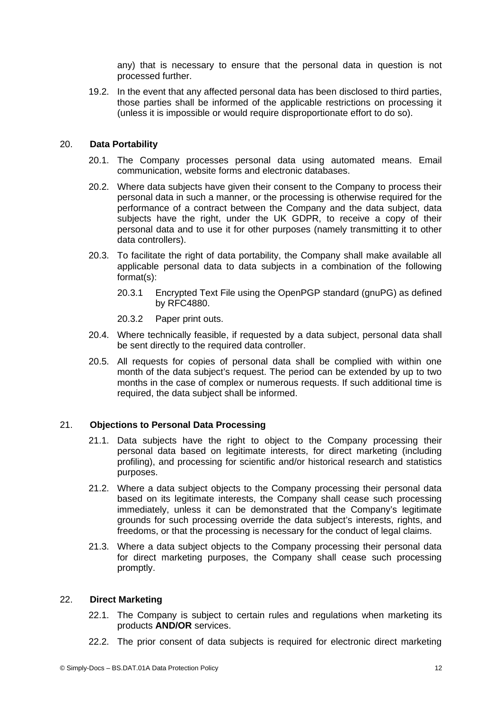any) that is necessary to ensure that the personal data in question is not processed further.

19.2. In the event that any affected personal data has been disclosed to third parties, those parties shall be informed of the applicable restrictions on processing it (unless it is impossible or would require disproportionate effort to do so).

## 20. **Data Portability**

- 20.1. The Company processes personal data using automated means. Email communication, website forms and electronic databases.
- 20.2. Where data subjects have given their consent to the Company to process their personal data in such a manner, or the processing is otherwise required for the performance of a contract between the Company and the data subject, data subjects have the right, under the UK GDPR, to receive a copy of their personal data and to use it for other purposes (namely transmitting it to other data controllers).
- 20.3. To facilitate the right of data portability, the Company shall make available all applicable personal data to data subjects in a combination of the following format(s):
	- 20.3.1 Encrypted Text File using the OpenPGP standard (gnuPG) as defined by RFC4880.
	- 20.3.2 Paper print outs.
- 20.4. Where technically feasible, if requested by a data subject, personal data shall be sent directly to the required data controller.
- 20.5. All requests for copies of personal data shall be complied with within one month of the data subject's request. The period can be extended by up to two months in the case of complex or numerous requests. If such additional time is required, the data subject shall be informed.

## 21. **Objections to Personal Data Processing**

- <span id="page-11-0"></span>21.1. Data subjects have the right to object to the Company processing their personal data based on legitimate interests, for direct marketing (including profiling), and processing for scientific and/or historical research and statistics purposes.
- 21.2. Where a data subject objects to the Company processing their personal data based on its legitimate interests, the Company shall cease such processing immediately, unless it can be demonstrated that the Company's legitimate grounds for such processing override the data subject's interests, rights, and freedoms, or that the processing is necessary for the conduct of legal claims.
- 21.3. Where a data subject objects to the Company processing their personal data for direct marketing purposes, the Company shall cease such processing promptly.

## 22. **Direct Marketing**

- 22.1. The Company is subject to certain rules and regulations when marketing its products **AND/OR** services.
- 22.2. The prior consent of data subjects is required for electronic direct marketing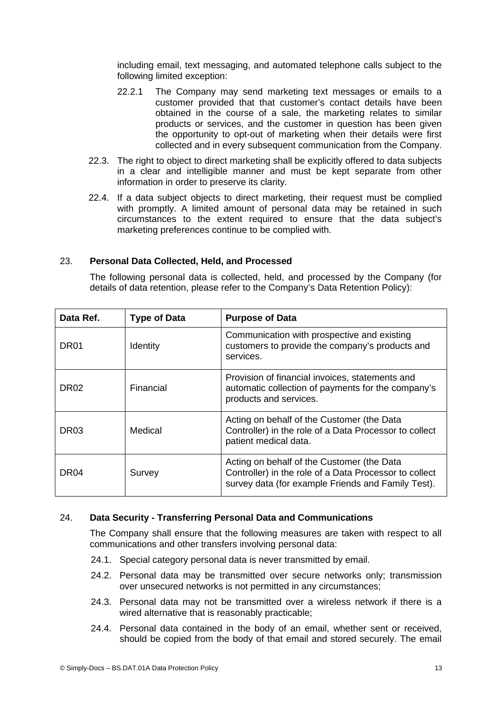including email, text messaging, and automated telephone calls subject to the following limited exception:

- 22.2.1 The Company may send marketing text messages or emails to a customer provided that that customer's contact details have been obtained in the course of a sale, the marketing relates to similar products or services, and the customer in question has been given the opportunity to opt-out of marketing when their details were first collected and in every subsequent communication from the Company.
- 22.3. The right to object to direct marketing shall be explicitly offered to data subjects in a clear and intelligible manner and must be kept separate from other information in order to preserve its clarity.
- 22.4. If a data subject objects to direct marketing, their request must be complied with promptly. A limited amount of personal data may be retained in such circumstances to the extent required to ensure that the data subject's marketing preferences continue to be complied with.

## 23. **Personal Data Collected, Held, and Processed**

<span id="page-12-0"></span>The following personal data is collected, held, and processed by the Company (for details of data retention, please refer to the Company's Data Retention Policy):

| Data Ref.        | <b>Type of Data</b> | <b>Purpose of Data</b>                                                                                                                                     |
|------------------|---------------------|------------------------------------------------------------------------------------------------------------------------------------------------------------|
| DR01             | Identity            | Communication with prospective and existing<br>customers to provide the company's products and<br>services.                                                |
| DR <sub>02</sub> | Financial           | Provision of financial invoices, statements and<br>automatic collection of payments for the company's<br>products and services.                            |
| DR <sub>03</sub> | Medical             | Acting on behalf of the Customer (the Data<br>Controller) in the role of a Data Processor to collect<br>patient medical data.                              |
| DR <sub>04</sub> | Survey              | Acting on behalf of the Customer (the Data<br>Controller) in the role of a Data Processor to collect<br>survey data (for example Friends and Family Test). |

## 24. **Data Security - Transferring Personal Data and Communications**

<span id="page-12-1"></span>The Company shall ensure that the following measures are taken with respect to all communications and other transfers involving personal data:

- 24.1. Special category personal data is never transmitted by email.
- 24.2. Personal data may be transmitted over secure networks only; transmission over unsecured networks is not permitted in any circumstances;
- 24.3. Personal data may not be transmitted over a wireless network if there is a wired alternative that is reasonably practicable;
- 24.4. Personal data contained in the body of an email, whether sent or received, should be copied from the body of that email and stored securely. The email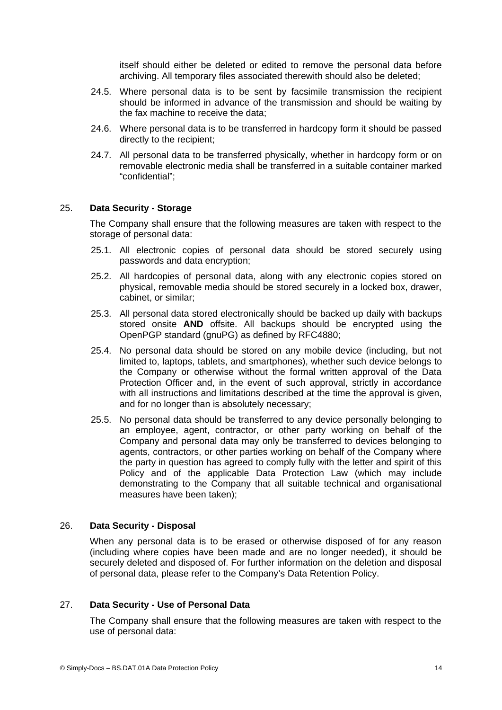itself should either be deleted or edited to remove the personal data before archiving. All temporary files associated therewith should also be deleted;

- 24.5. Where personal data is to be sent by facsimile transmission the recipient should be informed in advance of the transmission and should be waiting by the fax machine to receive the data;
- 24.6. Where personal data is to be transferred in hardcopy form it should be passed directly to the recipient;
- 24.7. All personal data to be transferred physically, whether in hardcopy form or on removable electronic media shall be transferred in a suitable container marked "confidential";

# 25. **Data Security - Storage**

The Company shall ensure that the following measures are taken with respect to the storage of personal data:

- 25.1. All electronic copies of personal data should be stored securely using passwords and data encryption;
- 25.2. All hardcopies of personal data, along with any electronic copies stored on physical, removable media should be stored securely in a locked box, drawer, cabinet, or similar;
- 25.3. All personal data stored electronically should be backed up daily with backups stored onsite **AND** offsite. All backups should be encrypted using the OpenPGP standard (gnuPG) as defined by RFC4880;
- 25.4. No personal data should be stored on any mobile device (including, but not limited to, laptops, tablets, and smartphones), whether such device belongs to the Company or otherwise without the formal written approval of the Data Protection Officer and, in the event of such approval, strictly in accordance with all instructions and limitations described at the time the approval is given, and for no longer than is absolutely necessary;
- 25.5. No personal data should be transferred to any device personally belonging to an employee, agent, contractor, or other party working on behalf of the Company and personal data may only be transferred to devices belonging to agents, contractors, or other parties working on behalf of the Company where the party in question has agreed to comply fully with the letter and spirit of this Policy and of the applicable Data Protection Law (which may include demonstrating to the Company that all suitable technical and organisational measures have been taken);

## 26. **Data Security - Disposal**

When any personal data is to be erased or otherwise disposed of for any reason (including where copies have been made and are no longer needed), it should be securely deleted and disposed of. For further information on the deletion and disposal of personal data, please refer to the Company's Data Retention Policy.

## 27. **Data Security - Use of Personal Data**

The Company shall ensure that the following measures are taken with respect to the use of personal data: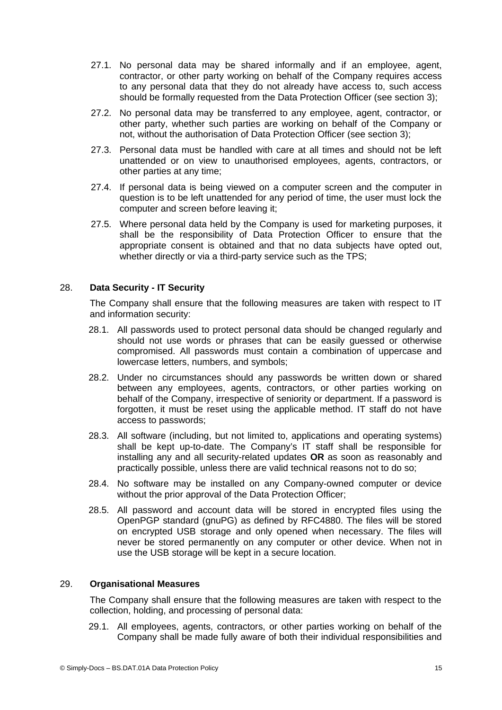- 27.1. No personal data may be shared informally and if an employee, agent, contractor, or other party working on behalf of the Company requires access to any personal data that they do not already have access to, such access should be formally requested from the Data Protection Officer (see section [3](#page-1-0));
- 27.2. No personal data may be transferred to any employee, agent, contractor, or other party, whether such parties are working on behalf of the Company or not, without the authorisation of Data Protection Officer (see section [3\)](#page-1-0);
- 27.3. Personal data must be handled with care at all times and should not be left unattended or on view to unauthorised employees, agents, contractors, or other parties at any time;
- 27.4. If personal data is being viewed on a computer screen and the computer in question is to be left unattended for any period of time, the user must lock the computer and screen before leaving it;
- 27.5. Where personal data held by the Company is used for marketing purposes, it shall be the responsibility of Data Protection Officer to ensure that the appropriate consent is obtained and that no data subjects have opted out, whether directly or via a third-party service such as the TPS;

# 28. **Data Security - IT Security**

The Company shall ensure that the following measures are taken with respect to IT and information security:

- 28.1. All passwords used to protect personal data should be changed regularly and should not use words or phrases that can be easily guessed or otherwise compromised. All passwords must contain a combination of uppercase and lowercase letters, numbers, and symbols;
- 28.2. Under no circumstances should any passwords be written down or shared between any employees, agents, contractors, or other parties working on behalf of the Company, irrespective of seniority or department. If a password is forgotten, it must be reset using the applicable method. IT staff do not have access to passwords;
- 28.3. All software (including, but not limited to, applications and operating systems) shall be kept up-to-date. The Company's IT staff shall be responsible for installing any and all security-related updates **OR** as soon as reasonably and practically possible, unless there are valid technical reasons not to do so;
- 28.4. No software may be installed on any Company-owned computer or device without the prior approval of the Data Protection Officer:
- 28.5. All password and account data will be stored in encrypted files using the OpenPGP standard (gnuPG) as defined by RFC4880. The files will be stored on encrypted USB storage and only opened when necessary. The files will never be stored permanently on any computer or other device. When not in use the USB storage will be kept in a secure location.

## 29. **Organisational Measures**

<span id="page-14-0"></span>The Company shall ensure that the following measures are taken with respect to the collection, holding, and processing of personal data:

29.1. All employees, agents, contractors, or other parties working on behalf of the Company shall be made fully aware of both their individual responsibilities and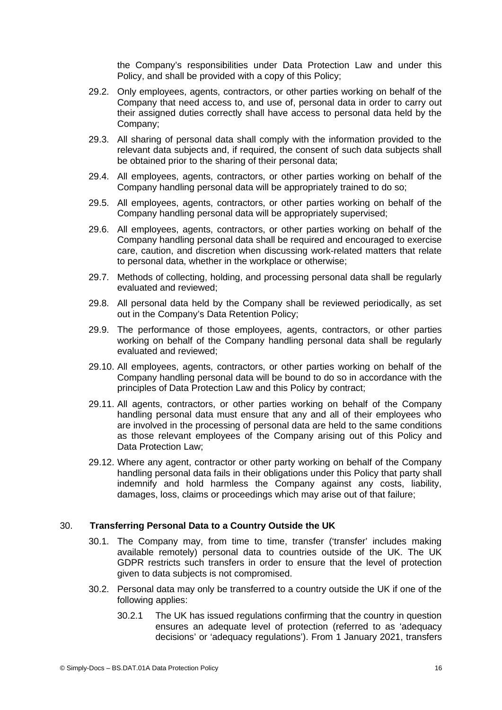the Company's responsibilities under Data Protection Law and under this Policy, and shall be provided with a copy of this Policy;

- 29.2. Only employees, agents, contractors, or other parties working on behalf of the Company that need access to, and use of, personal data in order to carry out their assigned duties correctly shall have access to personal data held by the Company;
- 29.3. All sharing of personal data shall comply with the information provided to the relevant data subjects and, if required, the consent of such data subjects shall be obtained prior to the sharing of their personal data;
- 29.4. All employees, agents, contractors, or other parties working on behalf of the Company handling personal data will be appropriately trained to do so;
- 29.5. All employees, agents, contractors, or other parties working on behalf of the Company handling personal data will be appropriately supervised;
- 29.6. All employees, agents, contractors, or other parties working on behalf of the Company handling personal data shall be required and encouraged to exercise care, caution, and discretion when discussing work-related matters that relate to personal data, whether in the workplace or otherwise;
- 29.7. Methods of collecting, holding, and processing personal data shall be regularly evaluated and reviewed;
- 29.8. All personal data held by the Company shall be reviewed periodically, as set out in the Company's Data Retention Policy;
- 29.9. The performance of those employees, agents, contractors, or other parties working on behalf of the Company handling personal data shall be regularly evaluated and reviewed;
- 29.10. All employees, agents, contractors, or other parties working on behalf of the Company handling personal data will be bound to do so in accordance with the principles of Data Protection Law and this Policy by contract;
- 29.11. All agents, contractors, or other parties working on behalf of the Company handling personal data must ensure that any and all of their employees who are involved in the processing of personal data are held to the same conditions as those relevant employees of the Company arising out of this Policy and Data Protection Law;
- 29.12. Where any agent, contractor or other party working on behalf of the Company handling personal data fails in their obligations under this Policy that party shall indemnify and hold harmless the Company against any costs, liability, damages, loss, claims or proceedings which may arise out of that failure;

## 30. **Transferring Personal Data to a Country Outside the UK**

- 30.1. The Company may, from time to time, transfer ('transfer' includes making available remotely) personal data to countries outside of the UK. The UK GDPR restricts such transfers in order to ensure that the level of protection given to data subjects is not compromised.
- 30.2. Personal data may only be transferred to a country outside the UK if one of the following applies:
	- 30.2.1 The UK has issued regulations confirming that the country in question ensures an adequate level of protection (referred to as 'adequacy decisions' or 'adequacy regulations'). From 1 January 2021, transfers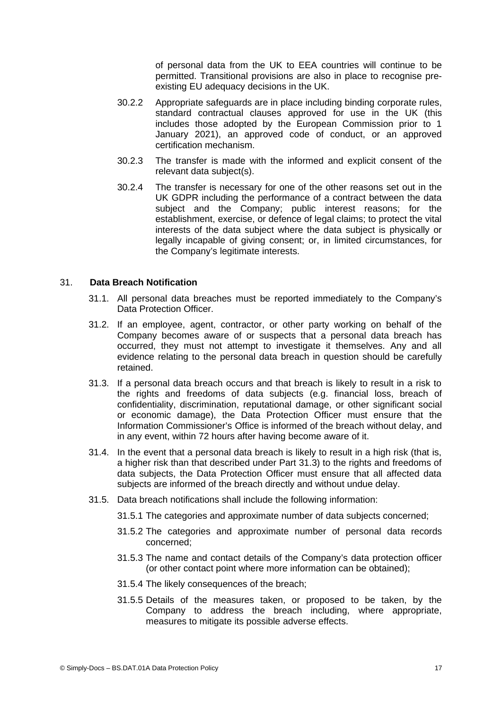of personal data from the UK to EEA countries will continue to be permitted. Transitional provisions are also in place to recognise preexisting EU adequacy decisions in the UK.

- 30.2.2 Appropriate safeguards are in place including binding corporate rules, standard contractual clauses approved for use in the UK (this includes those adopted by the European Commission prior to 1 January 2021), an approved code of conduct, or an approved certification mechanism.
- 30.2.3 The transfer is made with the informed and explicit consent of the relevant data subject(s).
- 30.2.4 The transfer is necessary for one of the other reasons set out in the UK GDPR including the performance of a contract between the data subject and the Company; public interest reasons; for the establishment, exercise, or defence of legal claims; to protect the vital interests of the data subject where the data subject is physically or legally incapable of giving consent; or, in limited circumstances, for the Company's legitimate interests.

## 31. **Data Breach Notification**

- 31.1. All personal data breaches must be reported immediately to the Company's Data Protection Officer.
- 31.2. If an employee, agent, contractor, or other party working on behalf of the Company becomes aware of or suspects that a personal data breach has occurred, they must not attempt to investigate it themselves. Any and all evidence relating to the personal data breach in question should be carefully retained.
- 31.3. If a personal data breach occurs and that breach is likely to result in a risk to the rights and freedoms of data subjects (e.g. financial loss, breach of confidentiality, discrimination, reputational damage, or other significant social or economic damage), the Data Protection Officer must ensure that the Information Commissioner's Office is informed of the breach without delay, and in any event, within 72 hours after having become aware of it.
- 31.4. In the event that a personal data breach is likely to result in a high risk (that is, a higher risk than that described under Part 31.3) to the rights and freedoms of data subjects, the Data Protection Officer must ensure that all affected data subjects are informed of the breach directly and without undue delay.
- 31.5. Data breach notifications shall include the following information:
	- 31.5.1 The categories and approximate number of data subjects concerned;
	- 31.5.2 The categories and approximate number of personal data records concerned;
	- 31.5.3 The name and contact details of the Company's data protection officer (or other contact point where more information can be obtained);
	- 31.5.4 The likely consequences of the breach;
	- 31.5.5 Details of the measures taken, or proposed to be taken, by the Company to address the breach including, where appropriate, measures to mitigate its possible adverse effects.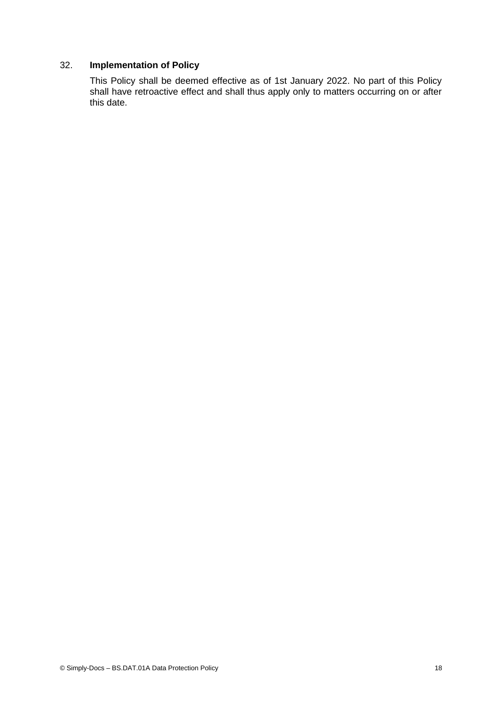# 32. **Implementation of Policy**

This Policy shall be deemed effective as of 1st January 2022. No part of this Policy shall have retroactive effect and shall thus apply only to matters occurring on or after this date.